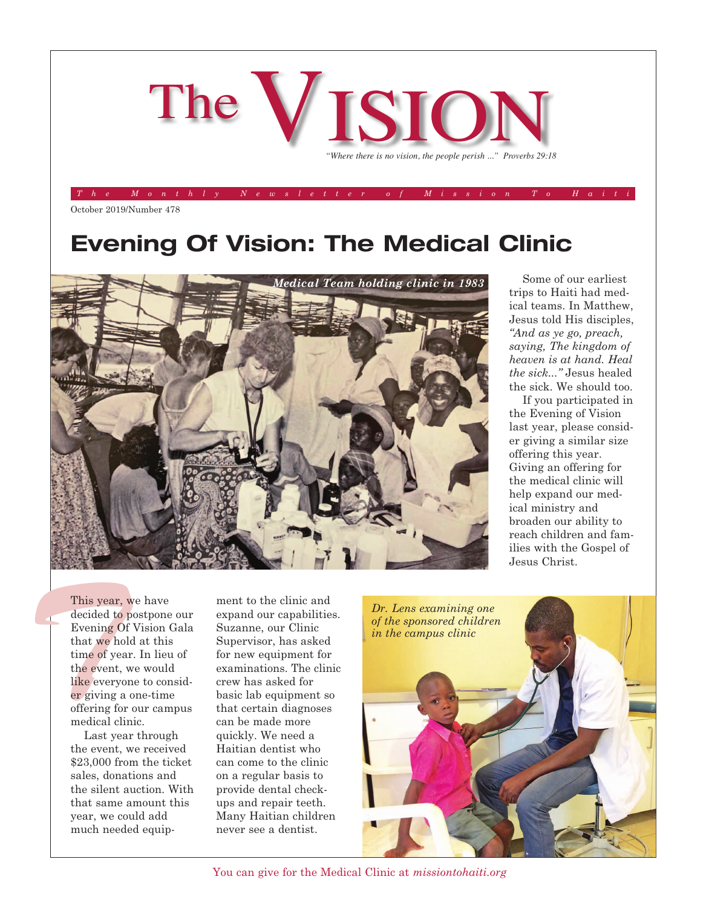

*The Monthly Newsletter of Mission To Haiti*

October 2019/Number 478

## **Evening Of Vision: The Medical Clinic**



Some of our earliest trips to Haiti had medical teams. In Matthew, Jesus told His disciples, *"And as ye go, preach, saying, The kingdom of heaven is at hand. Heal the sick..."* Jesus healed the sick. We should too.

If you participated in the Evening of Vision last year, please consider giving a similar size offering this year. Giving an offering for the medical clinic will help expand our medical ministry and broaden our ability to reach children and families with the Gospel of Jesus Christ.

This year, w<br>decided to p<br>Evening Of<br>that we hold<br>time of year<br>the event, w<br>like everyon<br>er giving a c This year, we have decided to postpone our Evening Of Vision Gala that we hold at this time of year. In lieu of the event, we would like everyone to consider giving a one-time offering for our campus medical clinic.

> Last year through the event, we received \$23,000 from the ticket sales, donations and the silent auction. With that same amount this year, we could add much needed equip

ment to the clinic and expand our capabilities. Suzanne, our Clinic Supervisor, has asked for new equipment for examinations. The clinic crew has asked for basic lab equipment so that certain diagnoses can be made more quickly. We need a Haitian dentist who can come to the clinic on a regular basis to provide dental checkups and repair teeth. Many Haitian children never see a dentist.



You can give for the Medical Clinic at *missiontohaiti.org*